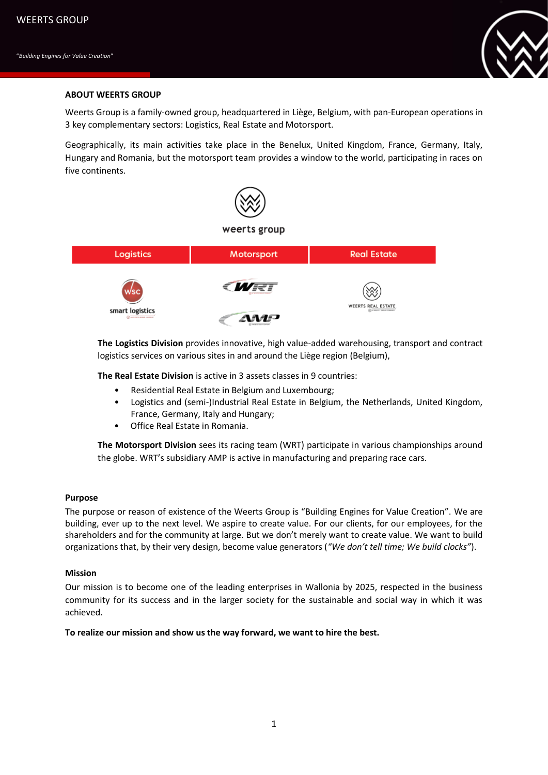

# **ABOUT WEERTS GROUP**

Weerts Group is a family-owned group, headquartered in Liège, Belgium, with pan-European operations in 3 key complementary sectors: Logistics, Real Estate and Motorsport.

Geographically, its main activities take place in the Benelux, United Kingdom, France, Germany, Italy, Hungary and Romania, but the motorsport team provides a window to the world, participating in races on five continents.



**The Logistics Division** provides innovative, high value-added warehousing, transport and contract logistics services on various sites in and around the Liège region (Belgium),

**The Real Estate Division** is active in 3 assets classes in 9 countries:

- Residential Real Estate in Belgium and Luxembourg;
- Logistics and (semi-)Industrial Real Estate in Belgium, the Netherlands, United Kingdom, France, Germany, Italy and Hungary;
- Office Real Estate in Romania.

**The Motorsport Division** sees its racing team (WRT) participate in various championships around the globe. WRT's subsidiary AMP is active in manufacturing and preparing race cars.

# **Purpose**

The purpose or reason of existence of the Weerts Group is "Building Engines for Value Creation". We are building, ever up to the next level. We aspire to create value. For our clients, for our employees, for the shareholders and for the community at large. But we don't merely want to create value. We want to build organizations that, by their very design, become value generators (*"We don't tell time; We build clocks"*).

### **Mission**

Our mission is to become one of the leading enterprises in Wallonia by 2025, respected in the business community for its success and in the larger society for the sustainable and social way in which it was achieved.

### **To realize our mission and show us the way forward, we want to hire the best.**